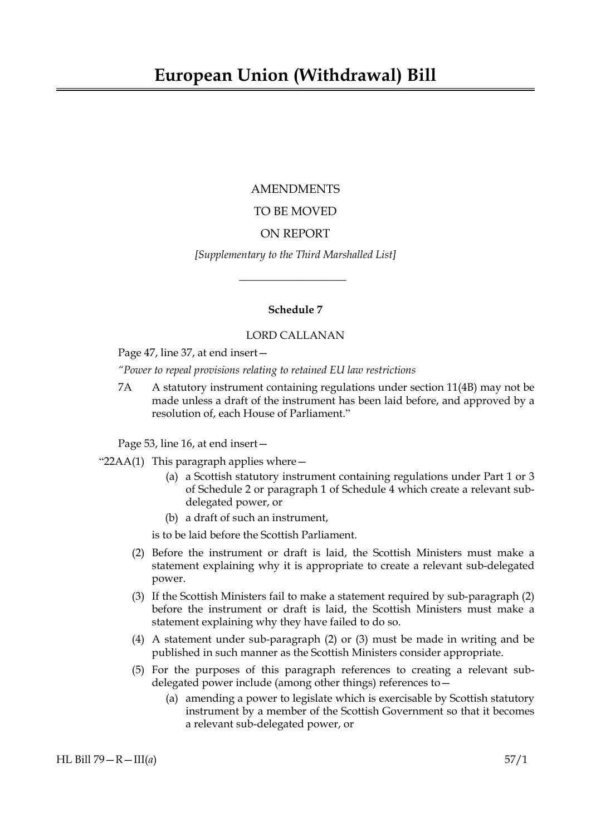# AMENDMENTS

# TO BE MOVED

# ON REPORT

*[Supplementary to the Third Marshalled List]*

 $\overline{\phantom{a}}$  , where  $\overline{\phantom{a}}$ 

# **Schedule 7**

# LORD CALLANAN

Page 47, line 37, at end insert—

*"Power to repeal provisions relating to retained EU law restrictions*

7A A statutory instrument containing regulations under section 11(4B) may not be made unless a draft of the instrument has been laid before, and approved by a resolution of, each House of Parliament."

Page 53, line 16, at end insert—

- " $22AA(1)$  This paragraph applies where  $-$ 
	- (a) a Scottish statutory instrument containing regulations under Part 1 or 3 of Schedule 2 or paragraph 1 of Schedule 4 which create a relevant subdelegated power, or
	- (b) a draft of such an instrument,

is to be laid before the Scottish Parliament.

- (2) Before the instrument or draft is laid, the Scottish Ministers must make a statement explaining why it is appropriate to create a relevant sub-delegated power.
- (3) If the Scottish Ministers fail to make a statement required by sub-paragraph (2) before the instrument or draft is laid, the Scottish Ministers must make a statement explaining why they have failed to do so.
- (4) A statement under sub-paragraph (2) or (3) must be made in writing and be published in such manner as the Scottish Ministers consider appropriate.
- (5) For the purposes of this paragraph references to creating a relevant subdelegated power include (among other things) references to—
	- (a) amending a power to legislate which is exercisable by Scottish statutory instrument by a member of the Scottish Government so that it becomes a relevant sub-delegated power, or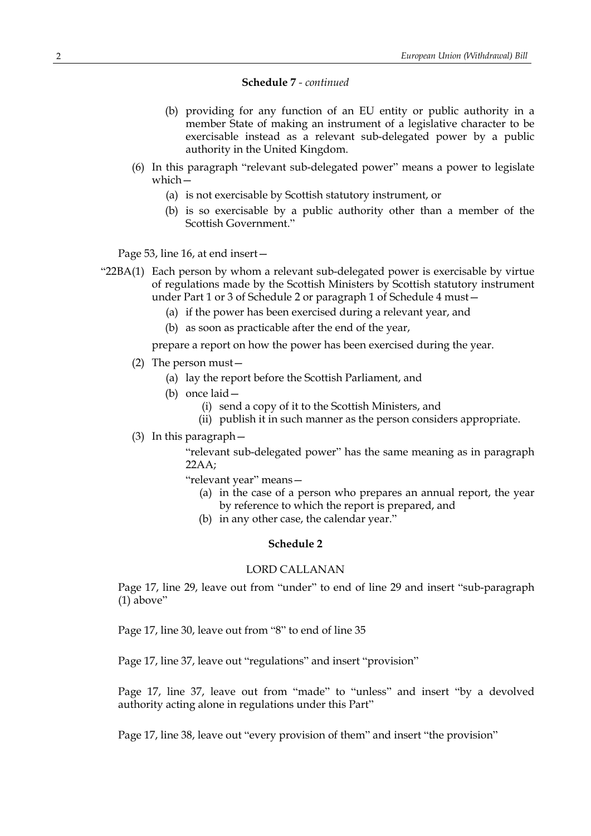- (b) providing for any function of an EU entity or public authority in a member State of making an instrument of a legislative character to be exercisable instead as a relevant sub-delegated power by a public authority in the United Kingdom.
- (6) In this paragraph "relevant sub-delegated power" means a power to legislate which—
	- (a) is not exercisable by Scottish statutory instrument, or
	- (b) is so exercisable by a public authority other than a member of the Scottish Government."

Page 53, line 16, at end insert—

- "22BA(1) Each person by whom a relevant sub-delegated power is exercisable by virtue of regulations made by the Scottish Ministers by Scottish statutory instrument under Part 1 or 3 of Schedule 2 or paragraph 1 of Schedule 4 must—
	- (a) if the power has been exercised during a relevant year, and
	- (b) as soon as practicable after the end of the year,

prepare a report on how the power has been exercised during the year.

- (2) The person must—
	- (a) lay the report before the Scottish Parliament, and
	- (b) once laid—
		- (i) send a copy of it to the Scottish Ministers, and
		- (ii) publish it in such manner as the person considers appropriate.
- (3) In this paragraph—

"relevant sub-delegated power" has the same meaning as in paragraph 22AA;

"relevant year" means—

- (a) in the case of a person who prepares an annual report, the year by reference to which the report is prepared, and
- (b) in any other case, the calendar year."

## **Schedule 2**

# LORD CALLANAN

Page 17, line 29, leave out from "under" to end of line 29 and insert "sub-paragraph  $(1)$  above"

Page 17, line 30, leave out from "8" to end of line 35

Page 17, line 37, leave out "regulations" and insert "provision"

Page 17, line 37, leave out from "made" to "unless" and insert "by a devolved authority acting alone in regulations under this Part"

Page 17, line 38, leave out "every provision of them" and insert "the provision"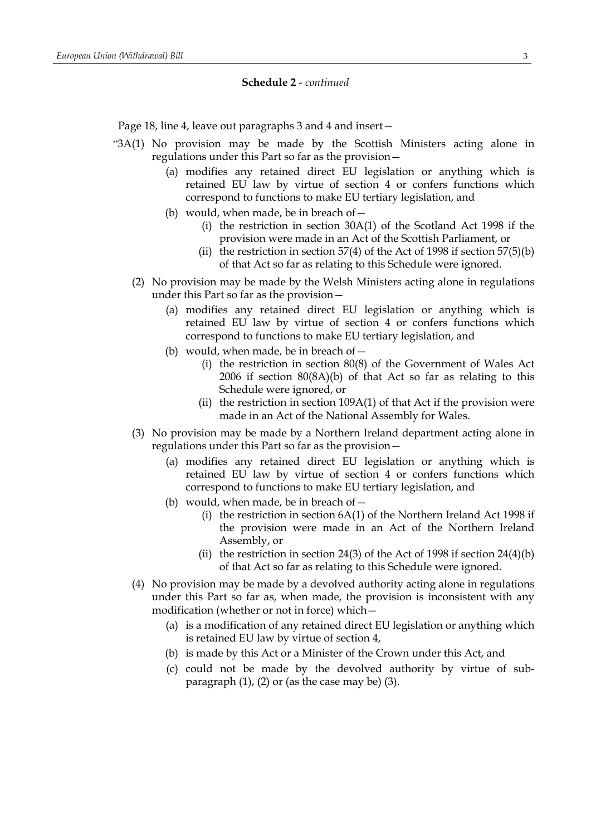Page 18, line 4, leave out paragraphs 3 and 4 and insert-

- "3A(1) No provision may be made by the Scottish Ministers acting alone in regulations under this Part so far as the provision—
	- (a) modifies any retained direct EU legislation or anything which is retained EU law by virtue of section 4 or confers functions which correspond to functions to make EU tertiary legislation, and
	- (b) would, when made, be in breach of  $-$ 
		- (i) the restriction in section 30A(1) of the Scotland Act 1998 if the provision were made in an Act of the Scottish Parliament, or
		- (ii) the restriction in section  $57(4)$  of the Act of 1998 if section  $57(5)(b)$ of that Act so far as relating to this Schedule were ignored.
	- (2) No provision may be made by the Welsh Ministers acting alone in regulations under this Part so far as the provision—
		- (a) modifies any retained direct EU legislation or anything which is retained EU law by virtue of section 4 or confers functions which correspond to functions to make EU tertiary legislation, and
		- (b) would, when made, be in breach of  $-$ 
			- (i) the restriction in section 80(8) of the Government of Wales Act 2006 if section 80(8A)(b) of that Act so far as relating to this Schedule were ignored, or
			- (ii) the restriction in section 109A(1) of that Act if the provision were made in an Act of the National Assembly for Wales.
	- (3) No provision may be made by a Northern Ireland department acting alone in regulations under this Part so far as the provision—
		- (a) modifies any retained direct EU legislation or anything which is retained EU law by virtue of section 4 or confers functions which correspond to functions to make EU tertiary legislation, and
		- (b) would, when made, be in breach of  $-$ 
			- (i) the restriction in section 6A(1) of the Northern Ireland Act 1998 if the provision were made in an Act of the Northern Ireland Assembly, or
			- (ii) the restriction in section 24(3) of the Act of 1998 if section  $24(4)(b)$ of that Act so far as relating to this Schedule were ignored.
	- (4) No provision may be made by a devolved authority acting alone in regulations under this Part so far as, when made, the provision is inconsistent with any modification (whether or not in force) which—
		- (a) is a modification of any retained direct EU legislation or anything which is retained EU law by virtue of section 4,
		- (b) is made by this Act or a Minister of the Crown under this Act, and
		- (c) could not be made by the devolved authority by virtue of subparagraph (1), (2) or (as the case may be) (3).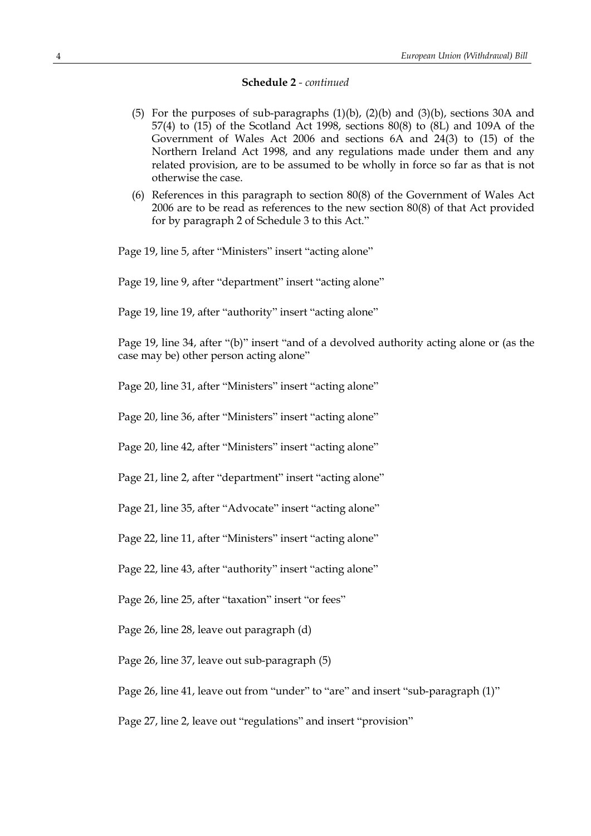- (5) For the purposes of sub-paragraphs (1)(b), (2)(b) and (3)(b), sections 30A and 57(4) to (15) of the Scotland Act 1998, sections 80(8) to (8L) and 109A of the Government of Wales Act 2006 and sections 6A and 24(3) to (15) of the Northern Ireland Act 1998, and any regulations made under them and any related provision, are to be assumed to be wholly in force so far as that is not otherwise the case.
- (6) References in this paragraph to section 80(8) of the Government of Wales Act 2006 are to be read as references to the new section 80(8) of that Act provided for by paragraph 2 of Schedule 3 to this Act."

Page 19, line 5, after "Ministers" insert "acting alone"

Page 19, line 9, after "department" insert "acting alone"

Page 19, line 19, after "authority" insert "acting alone"

Page 19, line 34, after "(b)" insert "and of a devolved authority acting alone or (as the case may be) other person acting alone"

Page 20, line 31, after "Ministers" insert "acting alone"

Page 20, line 36, after "Ministers" insert "acting alone"

Page 20, line 42, after "Ministers" insert "acting alone"

Page 21, line 2, after "department" insert "acting alone"

Page 21, line 35, after "Advocate" insert "acting alone"

Page 22, line 11, after "Ministers" insert "acting alone"

Page 22, line 43, after "authority" insert "acting alone"

Page 26, line 25, after "taxation" insert "or fees"

Page 26, line 28, leave out paragraph (d)

Page 26, line 37, leave out sub-paragraph (5)

Page 26, line 41, leave out from "under" to "are" and insert "sub-paragraph (1)"

Page 27, line 2, leave out "regulations" and insert "provision"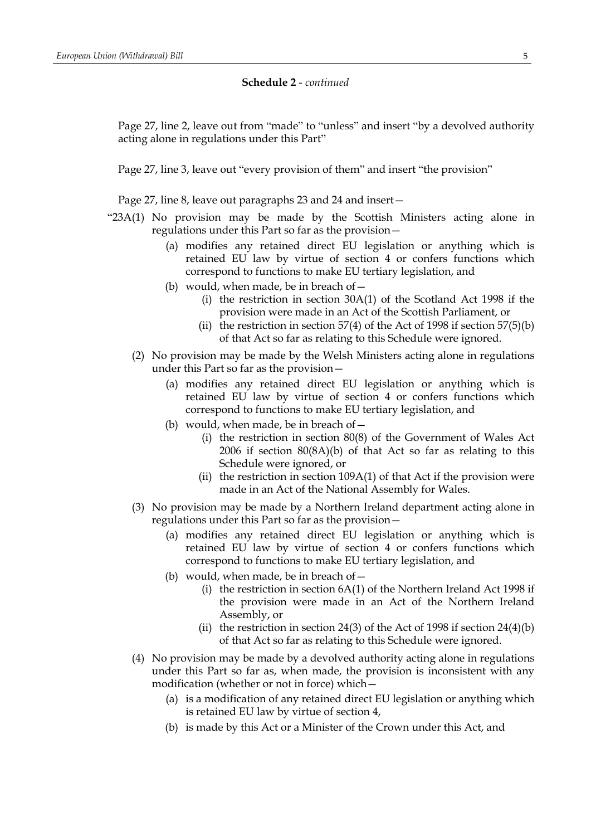Page 27, line 2, leave out from "made" to "unless" and insert "by a devolved authority acting alone in regulations under this Part"

Page 27, line 3, leave out "every provision of them" and insert "the provision"

Page 27, line 8, leave out paragraphs 23 and 24 and insert—

- "23A(1) No provision may be made by the Scottish Ministers acting alone in regulations under this Part so far as the provision—
	- (a) modifies any retained direct EU legislation or anything which is retained EU law by virtue of section 4 or confers functions which correspond to functions to make EU tertiary legislation, and
	- (b) would, when made, be in breach of  $-$ 
		- (i) the restriction in section 30A(1) of the Scotland Act 1998 if the provision were made in an Act of the Scottish Parliament, or
		- (ii) the restriction in section  $57(4)$  of the Act of 1998 if section  $57(5)(b)$ of that Act so far as relating to this Schedule were ignored.
	- (2) No provision may be made by the Welsh Ministers acting alone in regulations under this Part so far as the provision—
		- (a) modifies any retained direct EU legislation or anything which is retained EU law by virtue of section 4 or confers functions which correspond to functions to make EU tertiary legislation, and
		- (b) would, when made, be in breach of  $-$ 
			- (i) the restriction in section 80(8) of the Government of Wales Act 2006 if section 80(8A)(b) of that Act so far as relating to this Schedule were ignored, or
			- (ii) the restriction in section  $109A(1)$  of that Act if the provision were made in an Act of the National Assembly for Wales.
	- (3) No provision may be made by a Northern Ireland department acting alone in regulations under this Part so far as the provision—
		- (a) modifies any retained direct EU legislation or anything which is retained EU law by virtue of section 4 or confers functions which correspond to functions to make EU tertiary legislation, and
		- (b) would, when made, be in breach of  $-$ 
			- (i) the restriction in section 6A(1) of the Northern Ireland Act 1998 if the provision were made in an Act of the Northern Ireland Assembly, or
			- (ii) the restriction in section 24(3) of the Act of 1998 if section  $24(4)(b)$ of that Act so far as relating to this Schedule were ignored.
	- (4) No provision may be made by a devolved authority acting alone in regulations under this Part so far as, when made, the provision is inconsistent with any modification (whether or not in force) which—
		- (a) is a modification of any retained direct EU legislation or anything which is retained EU law by virtue of section 4,
		- (b) is made by this Act or a Minister of the Crown under this Act, and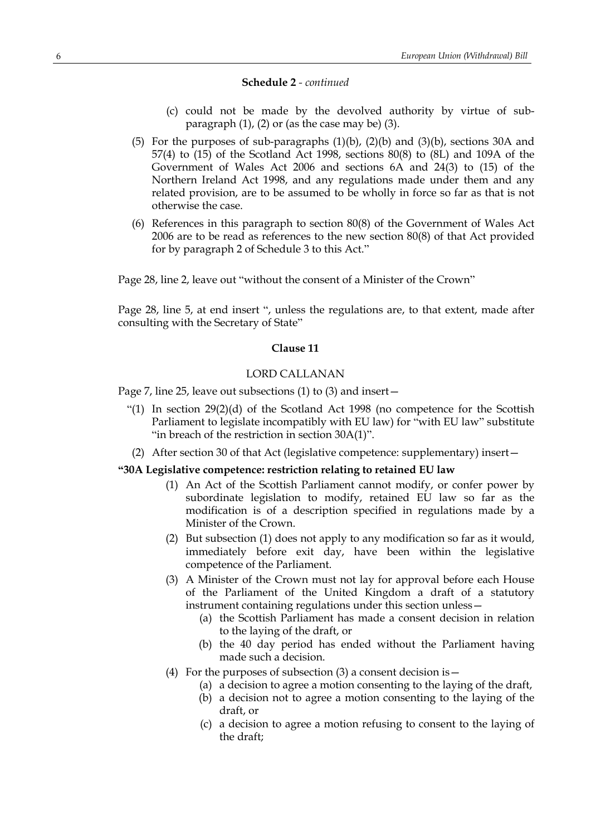- (c) could not be made by the devolved authority by virtue of subparagraph (1), (2) or (as the case may be) (3).
- (5) For the purposes of sub-paragraphs (1)(b), (2)(b) and (3)(b), sections 30A and 57(4) to (15) of the Scotland Act 1998, sections 80(8) to (8L) and 109A of the Government of Wales Act 2006 and sections 6A and 24(3) to (15) of the Northern Ireland Act 1998, and any regulations made under them and any related provision, are to be assumed to be wholly in force so far as that is not otherwise the case.
- (6) References in this paragraph to section 80(8) of the Government of Wales Act 2006 are to be read as references to the new section 80(8) of that Act provided for by paragraph 2 of Schedule 3 to this Act."

Page 28, line 2, leave out "without the consent of a Minister of the Crown"

Page 28, line 5, at end insert ", unless the regulations are, to that extent, made after consulting with the Secretary of State"

## **Clause 11**

# LORD CALLANAN

Page 7, line 25, leave out subsections (1) to (3) and insert—

- "(1) In section 29(2)(d) of the Scotland Act 1998 (no competence for the Scottish Parliament to legislate incompatibly with EU law) for "with EU law" substitute "in breach of the restriction in section 30A(1)".
- (2) After section 30 of that Act (legislative competence: supplementary) insert—

# **"30A Legislative competence: restriction relating to retained EU law**

- (1) An Act of the Scottish Parliament cannot modify, or confer power by subordinate legislation to modify, retained EU law so far as the modification is of a description specified in regulations made by a Minister of the Crown.
- (2) But subsection (1) does not apply to any modification so far as it would, immediately before exit day, have been within the legislative competence of the Parliament.
- (3) A Minister of the Crown must not lay for approval before each House of the Parliament of the United Kingdom a draft of a statutory instrument containing regulations under this section unless—
	- (a) the Scottish Parliament has made a consent decision in relation to the laying of the draft, or
	- (b) the 40 day period has ended without the Parliament having made such a decision.
- (4) For the purposes of subsection (3) a consent decision is  $-$ 
	- (a) a decision to agree a motion consenting to the laying of the draft,
	- (b) a decision not to agree a motion consenting to the laying of the draft, or
	- (c) a decision to agree a motion refusing to consent to the laying of the draft;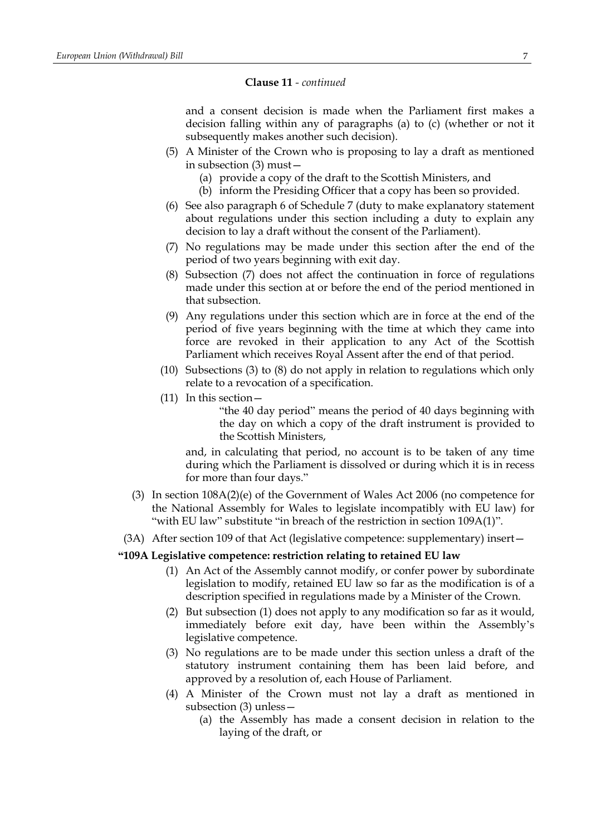and a consent decision is made when the Parliament first makes a decision falling within any of paragraphs (a) to (c) (whether or not it subsequently makes another such decision).

- (5) A Minister of the Crown who is proposing to lay a draft as mentioned in subsection (3) must—
	- (a) provide a copy of the draft to the Scottish Ministers, and
	- (b) inform the Presiding Officer that a copy has been so provided.
- (6) See also paragraph 6 of Schedule 7 (duty to make explanatory statement about regulations under this section including a duty to explain any decision to lay a draft without the consent of the Parliament).
- (7) No regulations may be made under this section after the end of the period of two years beginning with exit day.
- (8) Subsection (7) does not affect the continuation in force of regulations made under this section at or before the end of the period mentioned in that subsection.
- (9) Any regulations under this section which are in force at the end of the period of five years beginning with the time at which they came into force are revoked in their application to any Act of the Scottish Parliament which receives Royal Assent after the end of that period.
- (10) Subsections (3) to (8) do not apply in relation to regulations which only relate to a revocation of a specification.
- (11) In this section—

"the 40 day period" means the period of 40 days beginning with the day on which a copy of the draft instrument is provided to the Scottish Ministers,

and, in calculating that period, no account is to be taken of any time during which the Parliament is dissolved or during which it is in recess for more than four days."

- (3) In section 108A(2)(e) of the Government of Wales Act 2006 (no competence for the National Assembly for Wales to legislate incompatibly with EU law) for "with EU law" substitute "in breach of the restriction in section 109A(1)".
- (3A) After section 109 of that Act (legislative competence: supplementary) insert—

# **"109A Legislative competence: restriction relating to retained EU law**

- (1) An Act of the Assembly cannot modify, or confer power by subordinate legislation to modify, retained EU law so far as the modification is of a description specified in regulations made by a Minister of the Crown.
- (2) But subsection (1) does not apply to any modification so far as it would, immediately before exit day, have been within the Assembly's legislative competence.
- (3) No regulations are to be made under this section unless a draft of the statutory instrument containing them has been laid before, and approved by a resolution of, each House of Parliament.
- (4) A Minister of the Crown must not lay a draft as mentioned in subsection (3) unless—
	- (a) the Assembly has made a consent decision in relation to the laying of the draft, or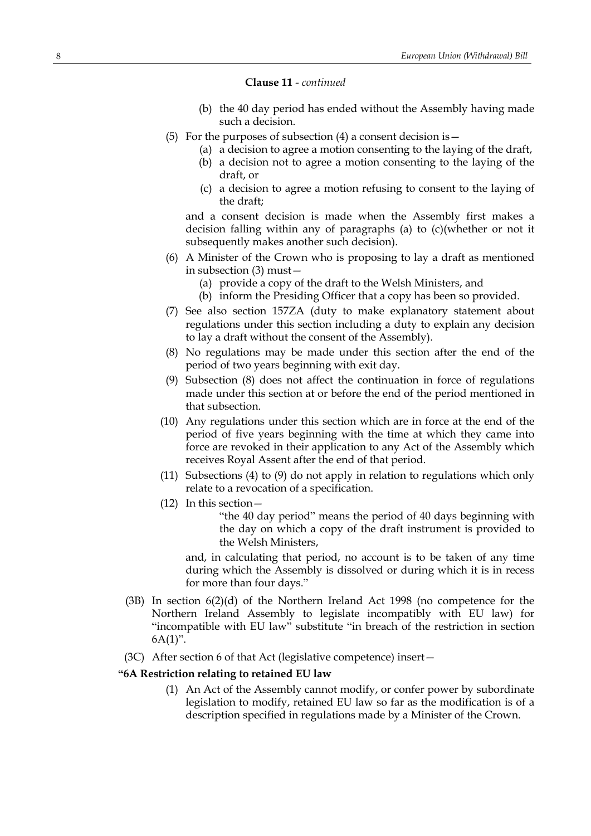- (b) the 40 day period has ended without the Assembly having made such a decision.
- (5) For the purposes of subsection (4) a consent decision is  $-$ 
	- (a) a decision to agree a motion consenting to the laying of the draft,
		- (b) a decision not to agree a motion consenting to the laying of the draft, or
		- (c) a decision to agree a motion refusing to consent to the laying of the draft;

and a consent decision is made when the Assembly first makes a decision falling within any of paragraphs (a) to (c)(whether or not it subsequently makes another such decision).

- (6) A Minister of the Crown who is proposing to lay a draft as mentioned in subsection (3) must—
	- (a) provide a copy of the draft to the Welsh Ministers, and
	- (b) inform the Presiding Officer that a copy has been so provided.
- (7) See also section 157ZA (duty to make explanatory statement about regulations under this section including a duty to explain any decision to lay a draft without the consent of the Assembly).
- (8) No regulations may be made under this section after the end of the period of two years beginning with exit day.
- (9) Subsection (8) does not affect the continuation in force of regulations made under this section at or before the end of the period mentioned in that subsection.
- (10) Any regulations under this section which are in force at the end of the period of five years beginning with the time at which they came into force are revoked in their application to any Act of the Assembly which receives Royal Assent after the end of that period.
- (11) Subsections (4) to (9) do not apply in relation to regulations which only relate to a revocation of a specification.
- (12) In this section—

"the 40 day period" means the period of 40 days beginning with the day on which a copy of the draft instrument is provided to the Welsh Ministers,

and, in calculating that period, no account is to be taken of any time during which the Assembly is dissolved or during which it is in recess for more than four days."

- (3B) In section 6(2)(d) of the Northern Ireland Act 1998 (no competence for the Northern Ireland Assembly to legislate incompatibly with EU law) for "incompatible with EU law" substitute "in breach of the restriction in section  $6A(1)$ ".
- (3C) After section 6 of that Act (legislative competence) insert—

## **"6A Restriction relating to retained EU law**

(1) An Act of the Assembly cannot modify, or confer power by subordinate legislation to modify, retained EU law so far as the modification is of a description specified in regulations made by a Minister of the Crown.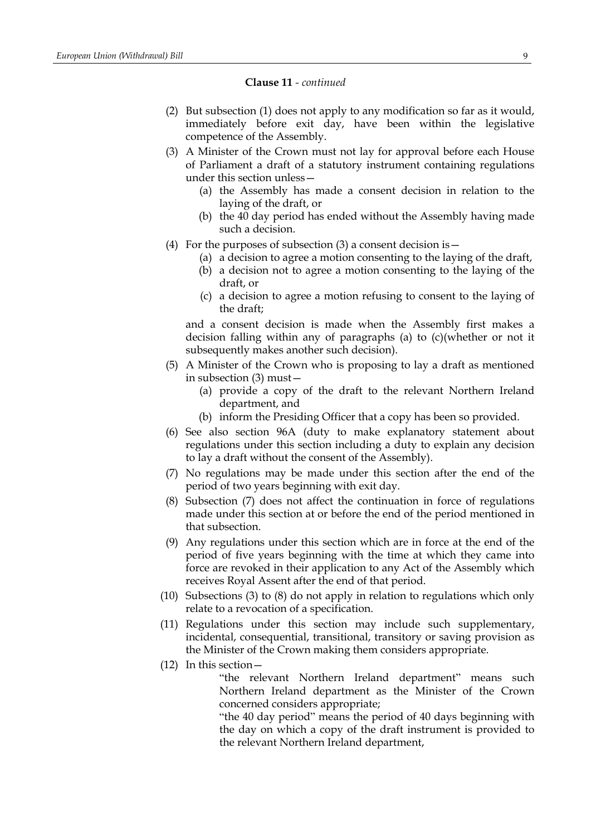- (2) But subsection (1) does not apply to any modification so far as it would, immediately before exit day, have been within the legislative competence of the Assembly.
- (3) A Minister of the Crown must not lay for approval before each House of Parliament a draft of a statutory instrument containing regulations under this section unless—
	- (a) the Assembly has made a consent decision in relation to the laying of the draft, or
	- (b) the 40 day period has ended without the Assembly having made such a decision.
- (4) For the purposes of subsection  $(3)$  a consent decision is  $-$ 
	- (a) a decision to agree a motion consenting to the laying of the draft,
	- (b) a decision not to agree a motion consenting to the laying of the draft, or
	- (c) a decision to agree a motion refusing to consent to the laying of the draft;

and a consent decision is made when the Assembly first makes a decision falling within any of paragraphs (a) to (c)(whether or not it subsequently makes another such decision).

- (5) A Minister of the Crown who is proposing to lay a draft as mentioned in subsection (3) must—
	- (a) provide a copy of the draft to the relevant Northern Ireland department, and
	- (b) inform the Presiding Officer that a copy has been so provided.
- (6) See also section 96A (duty to make explanatory statement about regulations under this section including a duty to explain any decision to lay a draft without the consent of the Assembly).
- (7) No regulations may be made under this section after the end of the period of two years beginning with exit day.
- (8) Subsection (7) does not affect the continuation in force of regulations made under this section at or before the end of the period mentioned in that subsection.
- (9) Any regulations under this section which are in force at the end of the period of five years beginning with the time at which they came into force are revoked in their application to any Act of the Assembly which receives Royal Assent after the end of that period.
- (10) Subsections (3) to (8) do not apply in relation to regulations which only relate to a revocation of a specification.
- (11) Regulations under this section may include such supplementary, incidental, consequential, transitional, transitory or saving provision as the Minister of the Crown making them considers appropriate.
- (12) In this section—

"the relevant Northern Ireland department" means such Northern Ireland department as the Minister of the Crown concerned considers appropriate;

"the 40 day period" means the period of 40 days beginning with the day on which a copy of the draft instrument is provided to the relevant Northern Ireland department,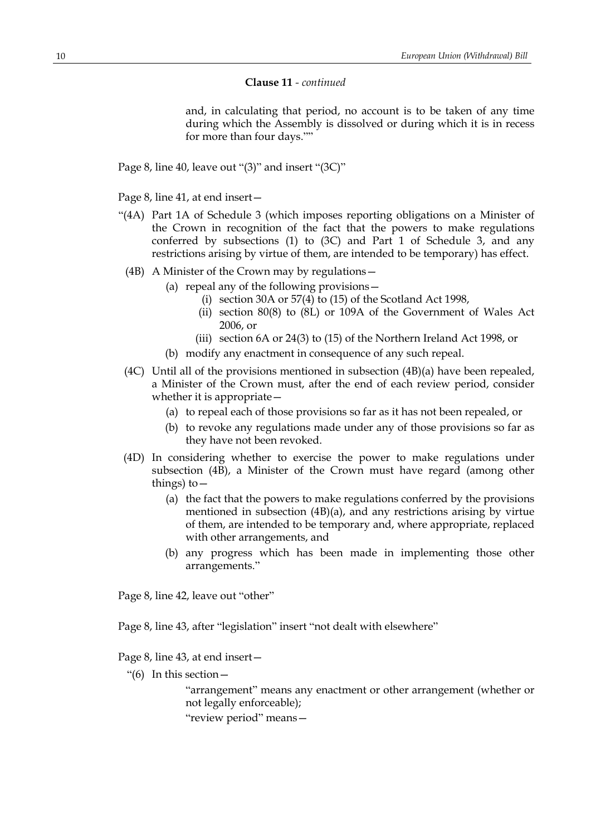and, in calculating that period, no account is to be taken of any time during which the Assembly is dissolved or during which it is in recess for more than four days.""

Page 8, line 40, leave out "(3)" and insert "(3C)"

Page 8, line 41, at end insert—

- "(4A) Part 1A of Schedule 3 (which imposes reporting obligations on a Minister of the Crown in recognition of the fact that the powers to make regulations conferred by subsections (1) to (3C) and Part 1 of Schedule 3, and any restrictions arising by virtue of them, are intended to be temporary) has effect.
	- (4B) A Minister of the Crown may by regulations—
		- (a) repeal any of the following provisions—
			- (i) section 30A or 57(4) to (15) of the Scotland Act 1998,
			- (ii) section 80(8) to (8L) or 109A of the Government of Wales Act 2006, or
			- (iii) section 6A or 24(3) to (15) of the Northern Ireland Act 1998, or
			- (b) modify any enactment in consequence of any such repeal.
- (4C) Until all of the provisions mentioned in subsection (4B)(a) have been repealed, a Minister of the Crown must, after the end of each review period, consider whether it is appropriate—
	- (a) to repeal each of those provisions so far as it has not been repealed, or
	- (b) to revoke any regulations made under any of those provisions so far as they have not been revoked.
- (4D) In considering whether to exercise the power to make regulations under subsection (4B), a Minister of the Crown must have regard (among other things) to  $-$ 
	- (a) the fact that the powers to make regulations conferred by the provisions mentioned in subsection (4B)(a), and any restrictions arising by virtue of them, are intended to be temporary and, where appropriate, replaced with other arrangements, and
	- (b) any progress which has been made in implementing those other arrangements."

Page 8, line 42, leave out "other"

Page 8, line 43, after "legislation" insert "not dealt with elsewhere"

Page 8, line 43, at end insert—

"(6) In this section—

"arrangement" means any enactment or other arrangement (whether or not legally enforceable);

"review period" means—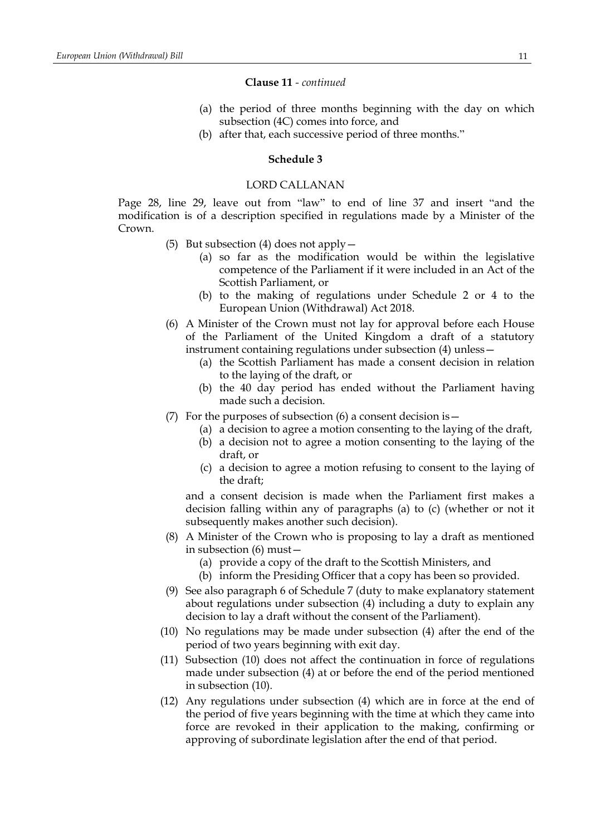- (a) the period of three months beginning with the day on which subsection (4C) comes into force, and
- (b) after that, each successive period of three months."

# **Schedule 3**

# LORD CALLANAN

Page 28, line 29, leave out from "law" to end of line 37 and insert "and the modification is of a description specified in regulations made by a Minister of the Crown.

- (5) But subsection (4) does not apply—
	- (a) so far as the modification would be within the legislative competence of the Parliament if it were included in an Act of the Scottish Parliament, or
	- (b) to the making of regulations under Schedule 2 or 4 to the European Union (Withdrawal) Act 2018.
- (6) A Minister of the Crown must not lay for approval before each House of the Parliament of the United Kingdom a draft of a statutory instrument containing regulations under subsection (4) unless—
	- (a) the Scottish Parliament has made a consent decision in relation to the laying of the draft, or
	- (b) the 40 day period has ended without the Parliament having made such a decision.
- (7) For the purposes of subsection (6) a consent decision is  $-$ 
	- (a) a decision to agree a motion consenting to the laying of the draft,
		- (b) a decision not to agree a motion consenting to the laying of the draft, or
		- (c) a decision to agree a motion refusing to consent to the laying of the draft;

and a consent decision is made when the Parliament first makes a decision falling within any of paragraphs (a) to (c) (whether or not it subsequently makes another such decision).

- (8) A Minister of the Crown who is proposing to lay a draft as mentioned in subsection (6) must—
	- (a) provide a copy of the draft to the Scottish Ministers, and
	- (b) inform the Presiding Officer that a copy has been so provided.
- (9) See also paragraph 6 of Schedule 7 (duty to make explanatory statement about regulations under subsection (4) including a duty to explain any decision to lay a draft without the consent of the Parliament).
- (10) No regulations may be made under subsection (4) after the end of the period of two years beginning with exit day.
- (11) Subsection (10) does not affect the continuation in force of regulations made under subsection (4) at or before the end of the period mentioned in subsection (10).
- (12) Any regulations under subsection (4) which are in force at the end of the period of five years beginning with the time at which they came into force are revoked in their application to the making, confirming or approving of subordinate legislation after the end of that period.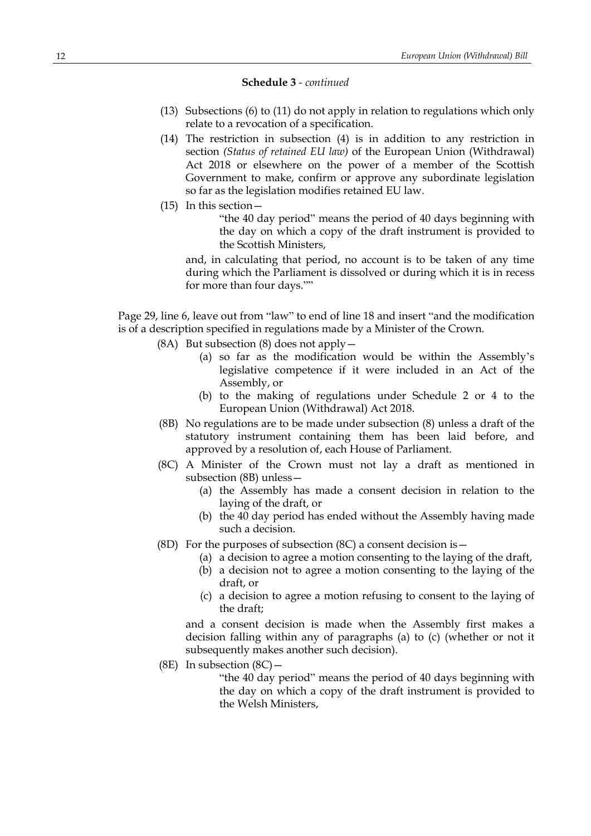- (13) Subsections (6) to (11) do not apply in relation to regulations which only relate to a revocation of a specification.
- (14) The restriction in subsection (4) is in addition to any restriction in section *(Status of retained EU law)* of the European Union (Withdrawal) Act 2018 or elsewhere on the power of a member of the Scottish Government to make, confirm or approve any subordinate legislation so far as the legislation modifies retained EU law.
- (15) In this section—

"the 40 day period" means the period of 40 days beginning with the day on which a copy of the draft instrument is provided to the Scottish Ministers,

and, in calculating that period, no account is to be taken of any time during which the Parliament is dissolved or during which it is in recess for more than four days.""

Page 29, line 6, leave out from "law" to end of line 18 and insert "and the modification is of a description specified in regulations made by a Minister of the Crown.

- (8A) But subsection (8) does not apply  $-$ 
	- (a) so far as the modification would be within the Assembly's legislative competence if it were included in an Act of the Assembly, or
	- (b) to the making of regulations under Schedule 2 or 4 to the European Union (Withdrawal) Act 2018.
- (8B) No regulations are to be made under subsection (8) unless a draft of the statutory instrument containing them has been laid before, and approved by a resolution of, each House of Parliament.
- (8C) A Minister of the Crown must not lay a draft as mentioned in subsection (8B) unless—
	- (a) the Assembly has made a consent decision in relation to the laying of the draft, or
	- (b) the 40 day period has ended without the Assembly having made such a decision.
- (8D) For the purposes of subsection  $(8C)$  a consent decision is  $-$ 
	- (a) a decision to agree a motion consenting to the laying of the draft,
	- (b) a decision not to agree a motion consenting to the laying of the draft, or
	- (c) a decision to agree a motion refusing to consent to the laying of the draft;

and a consent decision is made when the Assembly first makes a decision falling within any of paragraphs (a) to (c) (whether or not it subsequently makes another such decision).

(8E) In subsection  $(8C)$  -

"the 40 day period" means the period of 40 days beginning with the day on which a copy of the draft instrument is provided to the Welsh Ministers,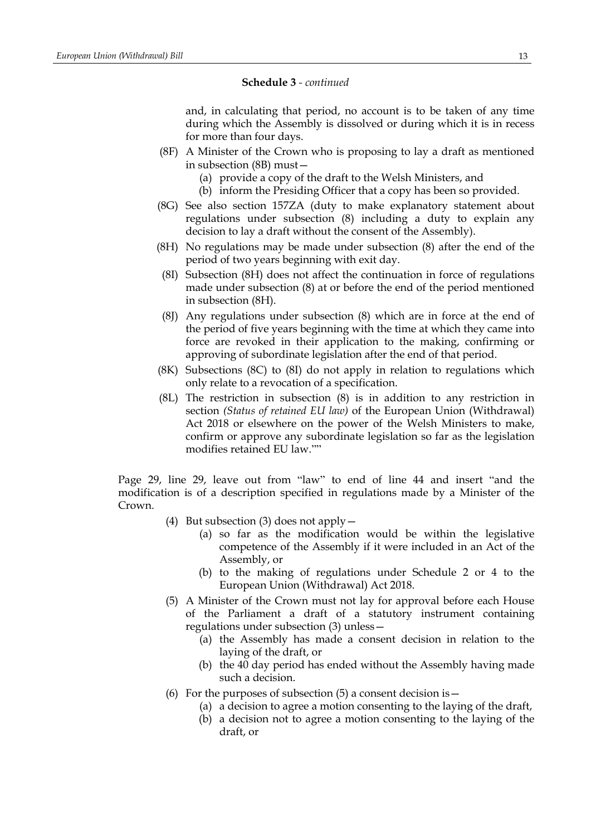and, in calculating that period, no account is to be taken of any time during which the Assembly is dissolved or during which it is in recess for more than four days.

- (8F) A Minister of the Crown who is proposing to lay a draft as mentioned in subsection (8B) must—
	- (a) provide a copy of the draft to the Welsh Ministers, and
	- (b) inform the Presiding Officer that a copy has been so provided.
- (8G) See also section 157ZA (duty to make explanatory statement about regulations under subsection (8) including a duty to explain any decision to lay a draft without the consent of the Assembly).
- (8H) No regulations may be made under subsection (8) after the end of the period of two years beginning with exit day.
- (8I) Subsection (8H) does not affect the continuation in force of regulations made under subsection (8) at or before the end of the period mentioned in subsection (8H).
- (8J) Any regulations under subsection (8) which are in force at the end of the period of five years beginning with the time at which they came into force are revoked in their application to the making, confirming or approving of subordinate legislation after the end of that period.
- (8K) Subsections (8C) to (8I) do not apply in relation to regulations which only relate to a revocation of a specification.
- (8L) The restriction in subsection (8) is in addition to any restriction in section *(Status of retained EU law)* of the European Union (Withdrawal) Act 2018 or elsewhere on the power of the Welsh Ministers to make, confirm or approve any subordinate legislation so far as the legislation modifies retained EU law.""

Page 29, line 29, leave out from "law" to end of line 44 and insert "and the modification is of a description specified in regulations made by a Minister of the Crown.

- (4) But subsection (3) does not apply  $-$ 
	- (a) so far as the modification would be within the legislative competence of the Assembly if it were included in an Act of the Assembly, or
	- (b) to the making of regulations under Schedule 2 or 4 to the European Union (Withdrawal) Act 2018.
- (5) A Minister of the Crown must not lay for approval before each House of the Parliament a draft of a statutory instrument containing regulations under subsection (3) unless—
	- (a) the Assembly has made a consent decision in relation to the laying of the draft, or
	- (b) the 40 day period has ended without the Assembly having made such a decision.
- (6) For the purposes of subsection  $(5)$  a consent decision is  $-$ 
	- (a) a decision to agree a motion consenting to the laying of the draft,
	- (b) a decision not to agree a motion consenting to the laying of the draft, or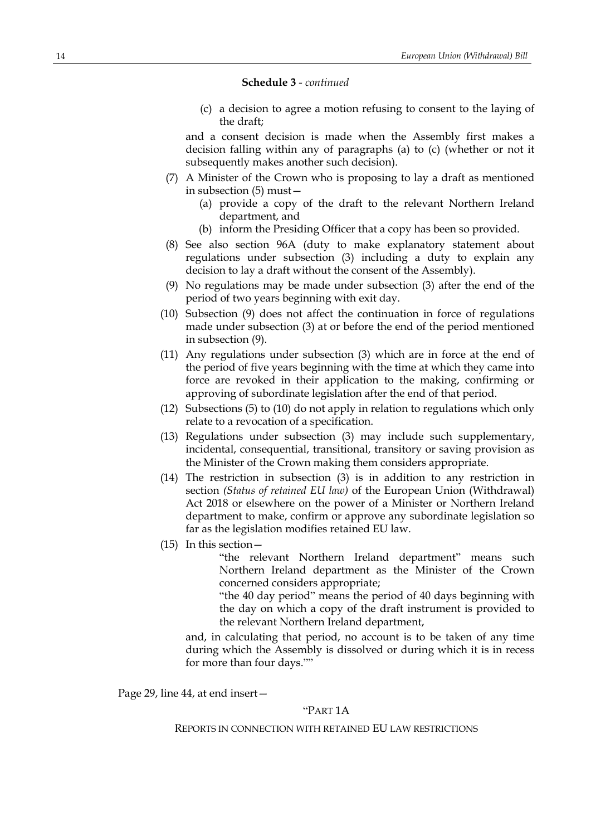(c) a decision to agree a motion refusing to consent to the laying of the draft;

and a consent decision is made when the Assembly first makes a decision falling within any of paragraphs (a) to (c) (whether or not it subsequently makes another such decision).

- (7) A Minister of the Crown who is proposing to lay a draft as mentioned in subsection (5) must—
	- (a) provide a copy of the draft to the relevant Northern Ireland department, and
	- (b) inform the Presiding Officer that a copy has been so provided.
- (8) See also section 96A (duty to make explanatory statement about regulations under subsection (3) including a duty to explain any decision to lay a draft without the consent of the Assembly).
- (9) No regulations may be made under subsection (3) after the end of the period of two years beginning with exit day.
- (10) Subsection (9) does not affect the continuation in force of regulations made under subsection (3) at or before the end of the period mentioned in subsection (9).
- (11) Any regulations under subsection (3) which are in force at the end of the period of five years beginning with the time at which they came into force are revoked in their application to the making, confirming or approving of subordinate legislation after the end of that period.
- (12) Subsections (5) to (10) do not apply in relation to regulations which only relate to a revocation of a specification.
- (13) Regulations under subsection (3) may include such supplementary, incidental, consequential, transitional, transitory or saving provision as the Minister of the Crown making them considers appropriate.
- (14) The restriction in subsection (3) is in addition to any restriction in section *(Status of retained EU law)* of the European Union (Withdrawal) Act 2018 or elsewhere on the power of a Minister or Northern Ireland department to make, confirm or approve any subordinate legislation so far as the legislation modifies retained EU law.
- (15) In this section—

"the relevant Northern Ireland department" means such Northern Ireland department as the Minister of the Crown concerned considers appropriate;

"the 40 day period" means the period of 40 days beginning with the day on which a copy of the draft instrument is provided to the relevant Northern Ireland department,

and, in calculating that period, no account is to be taken of any time during which the Assembly is dissolved or during which it is in recess for more than four days.""

Page 29, line 44, at end insert—

# "PART 1A

## REPORTS IN CONNECTION WITH RETAINED EU LAW RESTRICTIONS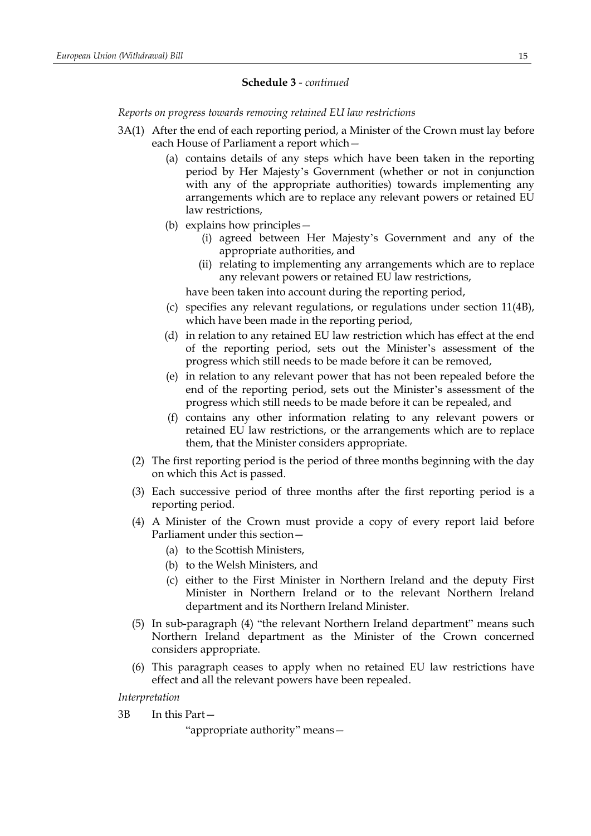*Reports on progress towards removing retained EU law restrictions*

- 3A(1) After the end of each reporting period, a Minister of the Crown must lay before each House of Parliament a report which—
	- (a) contains details of any steps which have been taken in the reporting period by Her Majesty's Government (whether or not in conjunction with any of the appropriate authorities) towards implementing any arrangements which are to replace any relevant powers or retained EU law restrictions,
	- (b) explains how principles—
		- (i) agreed between Her Majesty's Government and any of the appropriate authorities, and
		- (ii) relating to implementing any arrangements which are to replace any relevant powers or retained EU law restrictions,

have been taken into account during the reporting period,

- (c) specifies any relevant regulations, or regulations under section 11(4B), which have been made in the reporting period,
- (d) in relation to any retained EU law restriction which has effect at the end of the reporting period, sets out the Minister's assessment of the progress which still needs to be made before it can be removed,
- (e) in relation to any relevant power that has not been repealed before the end of the reporting period, sets out the Minister's assessment of the progress which still needs to be made before it can be repealed, and
- (f) contains any other information relating to any relevant powers or retained EU law restrictions, or the arrangements which are to replace them, that the Minister considers appropriate.
- (2) The first reporting period is the period of three months beginning with the day on which this Act is passed.
- (3) Each successive period of three months after the first reporting period is a reporting period.
- (4) A Minister of the Crown must provide a copy of every report laid before Parliament under this section—
	- (a) to the Scottish Ministers,
	- (b) to the Welsh Ministers, and
	- (c) either to the First Minister in Northern Ireland and the deputy First Minister in Northern Ireland or to the relevant Northern Ireland department and its Northern Ireland Minister.
- (5) In sub-paragraph (4) "the relevant Northern Ireland department" means such Northern Ireland department as the Minister of the Crown concerned considers appropriate.
- (6) This paragraph ceases to apply when no retained EU law restrictions have effect and all the relevant powers have been repealed.

*Interpretation*

3B In this Part—

"appropriate authority" means—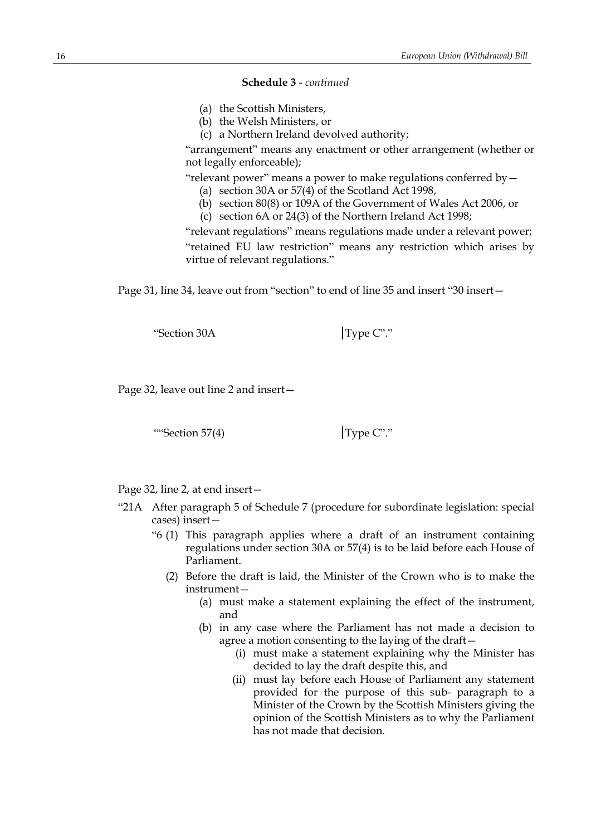- (a) the Scottish Ministers,
- (b) the Welsh Ministers, or
- (c) a Northern Ireland devolved authority;

"arrangement" means any enactment or other arrangement (whether or not legally enforceable);

"relevant power" means a power to make regulations conferred by—

- (a) section 30A or 57(4) of the Scotland Act 1998,
- (b) section 80(8) or 109A of the Government of Wales Act 2006, or
- (c) section 6A or 24(3) of the Northern Ireland Act 1998;

"relevant regulations" means regulations made under a relevant power; "retained EU law restriction" means any restriction which arises by virtue of relevant regulations."

Page 31, line 34, leave out from "section" to end of line 35 and insert "30 insert—

"Section 30A Type C"."

Page 32, leave out line 2 and insert—

""Section 57(4)  $\boxed{\text{Type C}^{\prime\prime}}$ "

Page 32, line 2, at end insert—

- "21A After paragraph 5 of Schedule 7 (procedure for subordinate legislation: special cases) insert—
	- "6 (1) This paragraph applies where a draft of an instrument containing regulations under section 30A or 57(4) is to be laid before each House of Parliament.
		- (2) Before the draft is laid, the Minister of the Crown who is to make the instrument—
			- (a) must make a statement explaining the effect of the instrument, and
			- (b) in any case where the Parliament has not made a decision to agree a motion consenting to the laying of the draft—
				- (i) must make a statement explaining why the Minister has decided to lay the draft despite this, and
				- (ii) must lay before each House of Parliament any statement provided for the purpose of this sub- paragraph to a Minister of the Crown by the Scottish Ministers giving the opinion of the Scottish Ministers as to why the Parliament has not made that decision.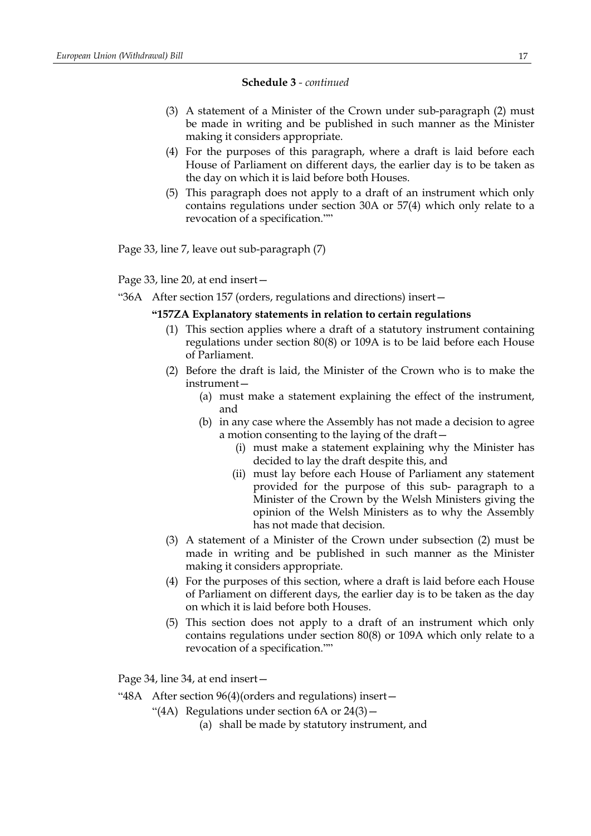- (3) A statement of a Minister of the Crown under sub-paragraph (2) must be made in writing and be published in such manner as the Minister making it considers appropriate.
- (4) For the purposes of this paragraph, where a draft is laid before each House of Parliament on different days, the earlier day is to be taken as the day on which it is laid before both Houses.
- (5) This paragraph does not apply to a draft of an instrument which only contains regulations under section 30A or 57(4) which only relate to a revocation of a specification.""

Page 33, line 7, leave out sub-paragraph (7)

Page 33, line 20, at end insert—

"36A After section 157 (orders, regulations and directions) insert—

## **"157ZA Explanatory statements in relation to certain regulations**

- (1) This section applies where a draft of a statutory instrument containing regulations under section 80(8) or 109A is to be laid before each House of Parliament.
- (2) Before the draft is laid, the Minister of the Crown who is to make the instrument—
	- (a) must make a statement explaining the effect of the instrument, and
	- (b) in any case where the Assembly has not made a decision to agree a motion consenting to the laying of the draft—
		- (i) must make a statement explaining why the Minister has decided to lay the draft despite this, and
		- (ii) must lay before each House of Parliament any statement provided for the purpose of this sub- paragraph to a Minister of the Crown by the Welsh Ministers giving the opinion of the Welsh Ministers as to why the Assembly has not made that decision.
- (3) A statement of a Minister of the Crown under subsection (2) must be made in writing and be published in such manner as the Minister making it considers appropriate.
- (4) For the purposes of this section, where a draft is laid before each House of Parliament on different days, the earlier day is to be taken as the day on which it is laid before both Houses.
- (5) This section does not apply to a draft of an instrument which only contains regulations under section 80(8) or 109A which only relate to a revocation of a specification.""

Page 34, line 34, at end insert—

"48A After section 96(4)(orders and regulations) insert—

"(4A) Regulations under section  $6A$  or  $24(3)$  -

(a) shall be made by statutory instrument, and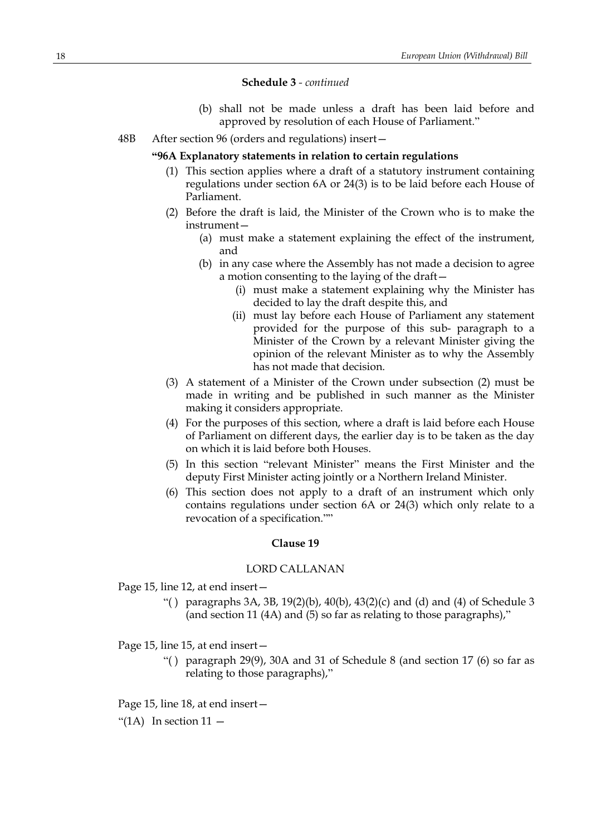- (b) shall not be made unless a draft has been laid before and approved by resolution of each House of Parliament."
- 48B After section 96 (orders and regulations) insert—

#### **"96A Explanatory statements in relation to certain regulations**

- (1) This section applies where a draft of a statutory instrument containing regulations under section 6A or 24(3) is to be laid before each House of Parliament.
- (2) Before the draft is laid, the Minister of the Crown who is to make the instrument—
	- (a) must make a statement explaining the effect of the instrument, and
	- (b) in any case where the Assembly has not made a decision to agree a motion consenting to the laying of the draft—
		- (i) must make a statement explaining why the Minister has decided to lay the draft despite this, and
		- (ii) must lay before each House of Parliament any statement provided for the purpose of this sub- paragraph to a Minister of the Crown by a relevant Minister giving the opinion of the relevant Minister as to why the Assembly has not made that decision.
- (3) A statement of a Minister of the Crown under subsection (2) must be made in writing and be published in such manner as the Minister making it considers appropriate.
- (4) For the purposes of this section, where a draft is laid before each House of Parliament on different days, the earlier day is to be taken as the day on which it is laid before both Houses.
- (5) In this section "relevant Minister" means the First Minister and the deputy First Minister acting jointly or a Northern Ireland Minister.
- (6) This section does not apply to a draft of an instrument which only contains regulations under section 6A or 24(3) which only relate to a revocation of a specification.""

## **Clause 19**

#### LORD CALLANAN

Page 15, line 12, at end insert—

"() paragraphs  $3A$ ,  $3B$ ,  $19(2)(b)$ ,  $40(b)$ ,  $43(2)(c)$  and (d) and (4) of Schedule 3 (and section 11 (4A) and (5) so far as relating to those paragraphs),"

Page 15, line 15, at end insert—

"() paragraph 29(9), 30A and 31 of Schedule 8 (and section 17 (6) so far as relating to those paragraphs),"

Page 15, line 18, at end insert—

"(1A) In section  $11 -$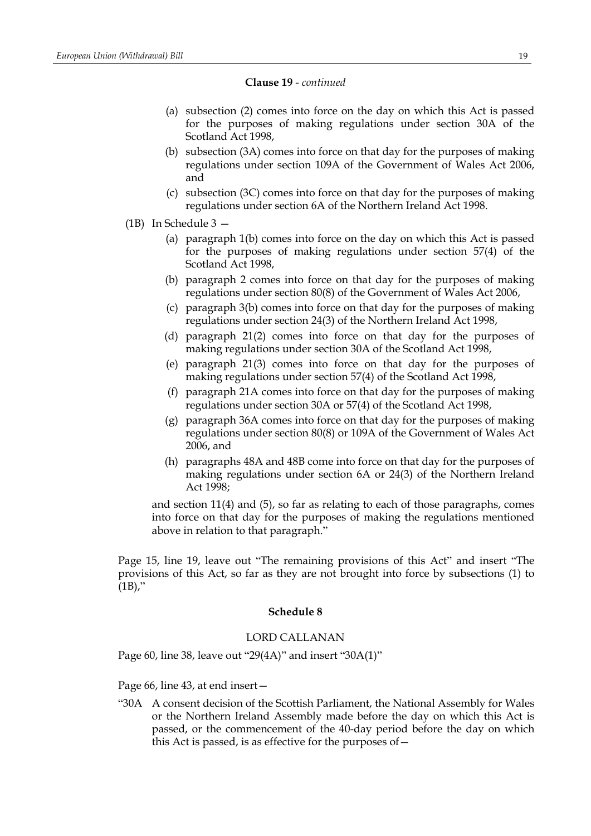- (a) subsection (2) comes into force on the day on which this Act is passed for the purposes of making regulations under section 30A of the Scotland Act 1998,
- (b) subsection (3A) comes into force on that day for the purposes of making regulations under section 109A of the Government of Wales Act 2006, and
- (c) subsection (3C) comes into force on that day for the purposes of making regulations under section 6A of the Northern Ireland Act 1998.
- (1B) In Schedule 3
	- (a) paragraph 1(b) comes into force on the day on which this Act is passed for the purposes of making regulations under section 57(4) of the Scotland Act 1998,
	- (b) paragraph 2 comes into force on that day for the purposes of making regulations under section 80(8) of the Government of Wales Act 2006,
	- (c) paragraph 3(b) comes into force on that day for the purposes of making regulations under section 24(3) of the Northern Ireland Act 1998,
	- (d) paragraph 21(2) comes into force on that day for the purposes of making regulations under section 30A of the Scotland Act 1998,
	- (e) paragraph 21(3) comes into force on that day for the purposes of making regulations under section 57(4) of the Scotland Act 1998,
	- (f) paragraph 21A comes into force on that day for the purposes of making regulations under section 30A or 57(4) of the Scotland Act 1998,
	- (g) paragraph 36A comes into force on that day for the purposes of making regulations under section 80(8) or 109A of the Government of Wales Act 2006, and
	- (h) paragraphs 48A and 48B come into force on that day for the purposes of making regulations under section 6A or 24(3) of the Northern Ireland Act 1998;

and section 11(4) and (5), so far as relating to each of those paragraphs, comes into force on that day for the purposes of making the regulations mentioned above in relation to that paragraph."

Page 15, line 19, leave out "The remaining provisions of this Act" and insert "The provisions of this Act, so far as they are not brought into force by subsections (1) to  $(1B)$ ,"

## **Schedule 8**

# LORD CALLANAN

Page 60, line 38, leave out "29(4A)" and insert "30A(1)"

Page 66, line 43, at end insert—

"30A A consent decision of the Scottish Parliament, the National Assembly for Wales or the Northern Ireland Assembly made before the day on which this Act is passed, or the commencement of the 40-day period before the day on which this Act is passed, is as effective for the purposes of—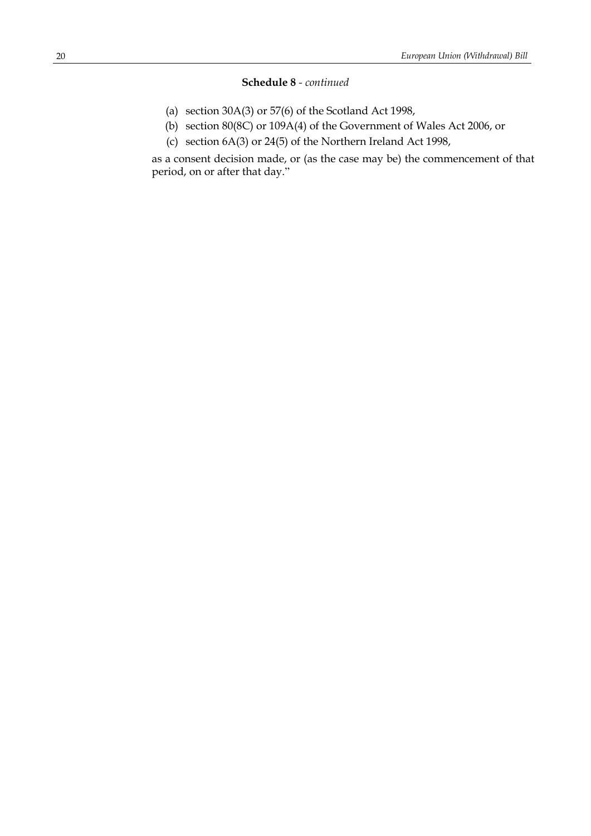- (a) section 30A(3) or 57(6) of the Scotland Act 1998,
- (b) section 80(8C) or 109A(4) of the Government of Wales Act 2006, or
- (c) section 6A(3) or 24(5) of the Northern Ireland Act 1998,

as a consent decision made, or (as the case may be) the commencement of that period, on or after that day."